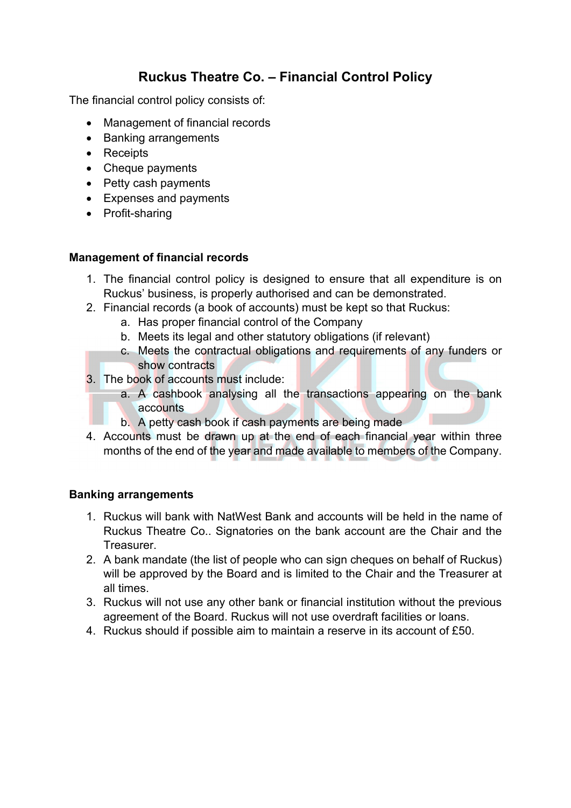# **Ruckus Theatre Co. – Financial Control Policy**

The financial control policy consists of:

- Management of financial records
- Banking arrangements
- Receipts
- Cheque payments
- Petty cash payments
- Expenses and payments
- Profit-sharing

#### **Management of financial records**

- 1. The financial control policy is designed to ensure that all expenditure is on Ruckus' business, is properly authorised and can be demonstrated.
- 2. Financial records (a book of accounts) must be kept so that Ruckus:
	- a. Has proper financial control of the Company
	- b. Meets its legal and other statutory obligations (if relevant)
	- c. Meets the contractual obligations and requirements of any funders or show contracts
- 3. The book of accounts must include:
	- a. A cashbook analysing all the transactions appearing on the bank accounts
	- b. A petty cash book if cash payments are being made
- 4. Accounts must be drawn up at the end of each financial year within three months of the end of the year and made available to members of the Company.

#### **Banking arrangements**

- 1. Ruckus will bank with NatWest Bank and accounts will be held in the name of Ruckus Theatre Co.. Signatories on the bank account are the Chair and the Treasurer.
- 2. A bank mandate (the list of people who can sign cheques on behalf of Ruckus) will be approved by the Board and is limited to the Chair and the Treasurer at all times.
- 3. Ruckus will not use any other bank or financial institution without the previous agreement of the Board. Ruckus will not use overdraft facilities or loans.
- 4. Ruckus should if possible aim to maintain a reserve in its account of £50.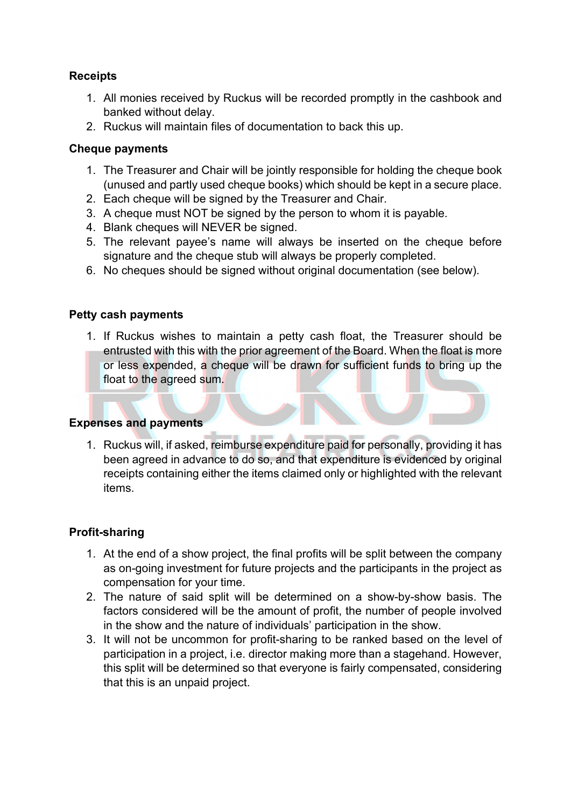# **Receipts**

- 1. All monies received by Ruckus will be recorded promptly in the cashbook and banked without delay.
- 2. Ruckus will maintain files of documentation to back this up.

## **Cheque payments**

- 1. The Treasurer and Chair will be jointly responsible for holding the cheque book (unused and partly used cheque books) which should be kept in a secure place.
- 2. Each cheque will be signed by the Treasurer and Chair.
- 3. A cheque must NOT be signed by the person to whom it is payable.
- 4. Blank cheques will NEVER be signed.
- 5. The relevant payee's name will always be inserted on the cheque before signature and the cheque stub will always be properly completed.
- 6. No cheques should be signed without original documentation (see below).

# **Petty cash payments**

1. If Ruckus wishes to maintain a petty cash float, the Treasurer should be entrusted with this with the prior agreement of the Board. When the float is more or less expended, a cheque will be drawn for sufficient funds to bring up the float to the agreed sum.

### **Expenses and payments**

1. Ruckus will, if asked, reimburse expenditure paid for personally, providing it has been agreed in advance to do so, and that expenditure is evidenced by original receipts containing either the items claimed only or highlighted with the relevant items.

### **Profit-sharing**

- 1. At the end of a show project, the final profits will be split between the company as on-going investment for future projects and the participants in the project as compensation for your time.
- 2. The nature of said split will be determined on a show-by-show basis. The factors considered will be the amount of profit, the number of people involved in the show and the nature of individuals' participation in the show.
- 3. It will not be uncommon for profit-sharing to be ranked based on the level of participation in a project, i.e. director making more than a stagehand. However, this split will be determined so that everyone is fairly compensated, considering that this is an unpaid project.